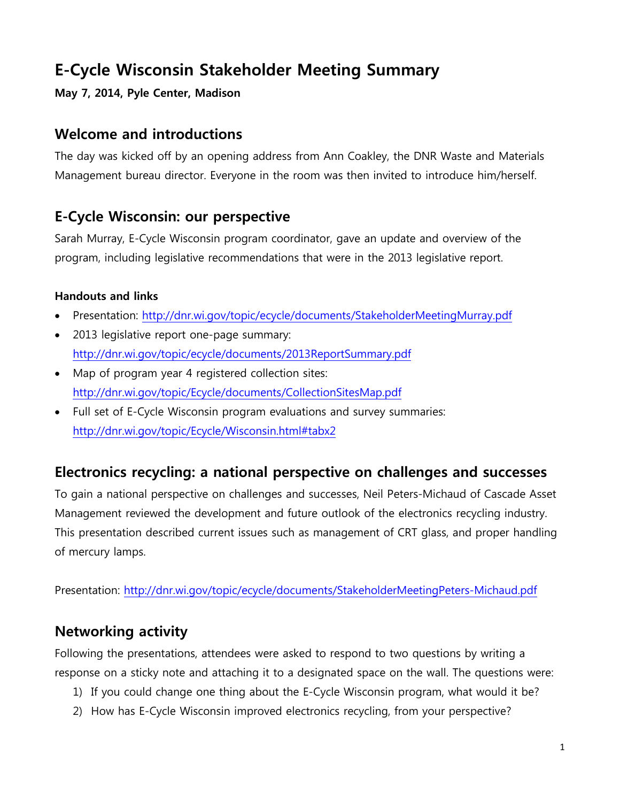# **E-Cycle Wisconsin Stakeholder Meeting Summary**

## **May 7, 2014, Pyle Center, Madison**

# **Welcome and introductions**

The day was kicked off by an opening address from Ann Coakley, the DNR Waste and Materials Management bureau director. Everyone in the room was then invited to introduce him/herself.

# **E-Cycle Wisconsin: our perspective**

Sarah Murray, E-Cycle Wisconsin program coordinator, gave an update and overview of the program, including legislative recommendations that were in the 2013 legislative report.

## **Handouts and links**

- Presentation:<http://dnr.wi.gov/topic/ecycle/documents/StakeholderMeetingMurray.pdf>
- 2013 legislative report one-page summary: <http://dnr.wi.gov/topic/ecycle/documents/2013ReportSummary.pdf>
- Map of program year 4 registered collection sites: <http://dnr.wi.gov/topic/Ecycle/documents/CollectionSitesMap.pdf>
- Full set of E-Cycle Wisconsin program evaluations and survey summaries: <http://dnr.wi.gov/topic/Ecycle/Wisconsin.html#tabx2>

# **Electronics recycling: a national perspective on challenges and successes**

To gain a national perspective on challenges and successes, Neil Peters-Michaud of Cascade Asset Management reviewed the development and future outlook of the electronics recycling industry. This presentation described current issues such as management of CRT glass, and proper handling of mercury lamps.

Presentation: <http://dnr.wi.gov/topic/ecycle/documents/StakeholderMeetingPeters-Michaud.pdf>

# **Networking activity**

Following the presentations, attendees were asked to respond to two questions by writing a response on a sticky note and attaching it to a designated space on the wall. The questions were:

- 1) If you could change one thing about the E-Cycle Wisconsin program, what would it be?
- 2) How has E-Cycle Wisconsin improved electronics recycling, from your perspective?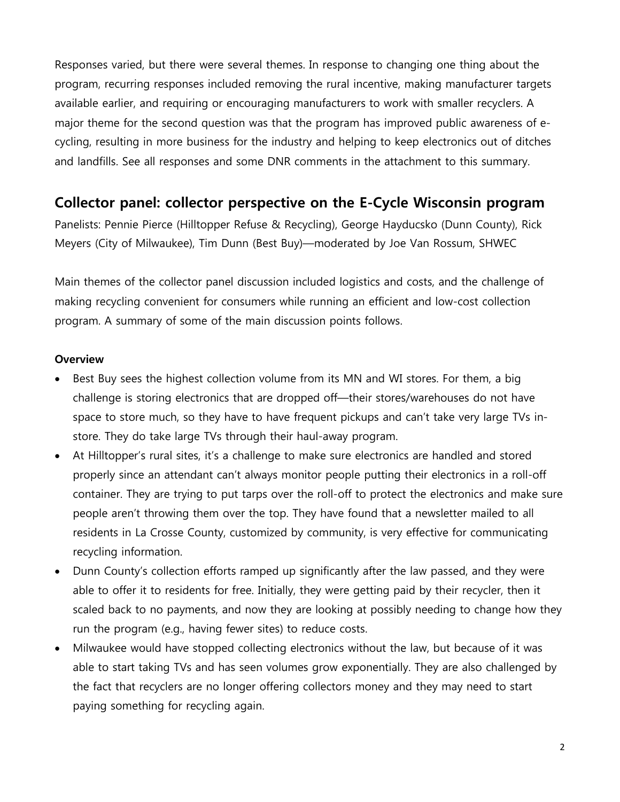Responses varied, but there were several themes. In response to changing one thing about the program, recurring responses included removing the rural incentive, making manufacturer targets available earlier, and requiring or encouraging manufacturers to work with smaller recyclers. A major theme for the second question was that the program has improved public awareness of ecycling, resulting in more business for the industry and helping to keep electronics out of ditches and landfills. See all responses and some DNR comments in the attachment to this summary.

## **Collector panel: collector perspective on the E-Cycle Wisconsin program**

Panelists: Pennie Pierce (Hilltopper Refuse & Recycling), George Hayducsko (Dunn County), Rick Meyers (City of Milwaukee), Tim Dunn (Best Buy)—moderated by Joe Van Rossum, SHWEC

Main themes of the collector panel discussion included logistics and costs, and the challenge of making recycling convenient for consumers while running an efficient and low-cost collection program. A summary of some of the main discussion points follows.

#### **Overview**

- Best Buy sees the highest collection volume from its MN and WI stores. For them, a big challenge is storing electronics that are dropped off—their stores/warehouses do not have space to store much, so they have to have frequent pickups and can't take very large TVs instore. They do take large TVs through their haul-away program.
- At Hilltopper's rural sites, it's a challenge to make sure electronics are handled and stored properly since an attendant can't always monitor people putting their electronics in a roll-off container. They are trying to put tarps over the roll-off to protect the electronics and make sure people aren't throwing them over the top. They have found that a newsletter mailed to all residents in La Crosse County, customized by community, is very effective for communicating recycling information.
- Dunn County's collection efforts ramped up significantly after the law passed, and they were able to offer it to residents for free. Initially, they were getting paid by their recycler, then it scaled back to no payments, and now they are looking at possibly needing to change how they run the program (e.g., having fewer sites) to reduce costs.
- Milwaukee would have stopped collecting electronics without the law, but because of it was able to start taking TVs and has seen volumes grow exponentially. They are also challenged by the fact that recyclers are no longer offering collectors money and they may need to start paying something for recycling again.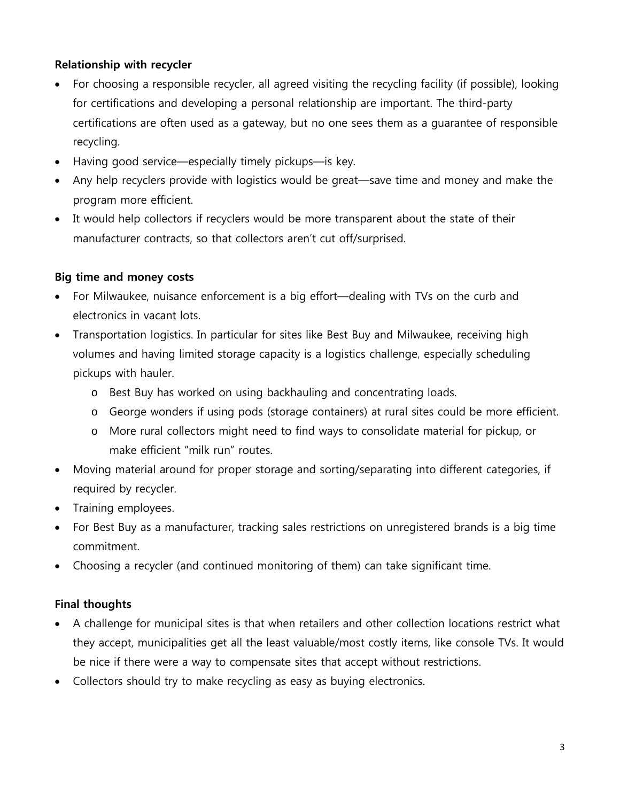#### **Relationship with recycler**

- For choosing a responsible recycler, all agreed visiting the recycling facility (if possible), looking for certifications and developing a personal relationship are important. The third-party certifications are often used as a gateway, but no one sees them as a guarantee of responsible recycling.
- Having good service—especially timely pickups—is key.
- Any help recyclers provide with logistics would be great—save time and money and make the program more efficient.
- It would help collectors if recyclers would be more transparent about the state of their manufacturer contracts, so that collectors aren't cut off/surprised.

### **Big time and money costs**

- For Milwaukee, nuisance enforcement is a big effort—dealing with TVs on the curb and electronics in vacant lots.
- Transportation logistics. In particular for sites like Best Buy and Milwaukee, receiving high volumes and having limited storage capacity is a logistics challenge, especially scheduling pickups with hauler.
	- o Best Buy has worked on using backhauling and concentrating loads.
	- o George wonders if using pods (storage containers) at rural sites could be more efficient.
	- o More rural collectors might need to find ways to consolidate material for pickup, or make efficient "milk run" routes.
- Moving material around for proper storage and sorting/separating into different categories, if required by recycler.
- Training employees.
- For Best Buy as a manufacturer, tracking sales restrictions on unregistered brands is a big time commitment.
- Choosing a recycler (and continued monitoring of them) can take significant time.

### **Final thoughts**

- A challenge for municipal sites is that when retailers and other collection locations restrict what they accept, municipalities get all the least valuable/most costly items, like console TVs. It would be nice if there were a way to compensate sites that accept without restrictions.
- Collectors should try to make recycling as easy as buying electronics.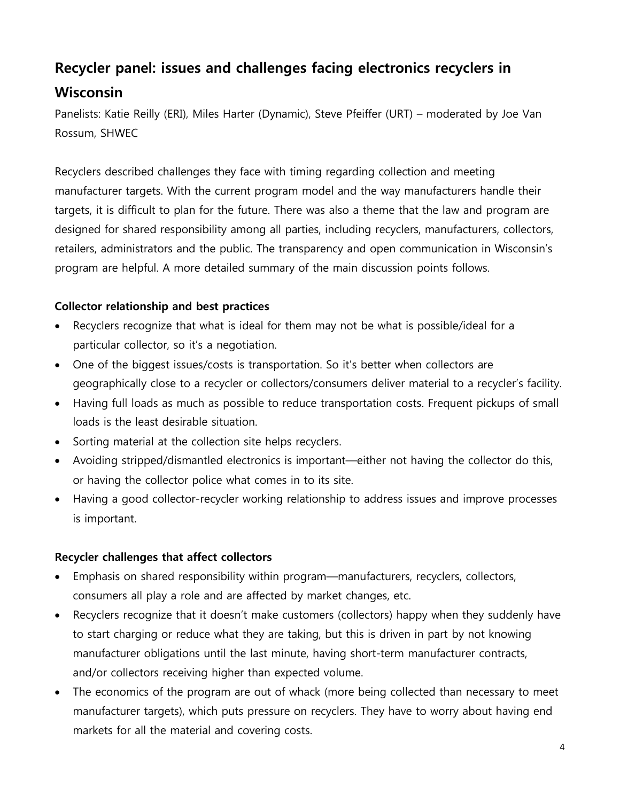# **Recycler panel: issues and challenges facing electronics recyclers in Wisconsin**

Panelists: Katie Reilly (ERI), Miles Harter (Dynamic), Steve Pfeiffer (URT) – moderated by Joe Van Rossum, SHWEC

Recyclers described challenges they face with timing regarding collection and meeting manufacturer targets. With the current program model and the way manufacturers handle their targets, it is difficult to plan for the future. There was also a theme that the law and program are designed for shared responsibility among all parties, including recyclers, manufacturers, collectors, retailers, administrators and the public. The transparency and open communication in Wisconsin's program are helpful. A more detailed summary of the main discussion points follows.

### **Collector relationship and best practices**

- Recyclers recognize that what is ideal for them may not be what is possible/ideal for a particular collector, so it's a negotiation.
- One of the biggest issues/costs is transportation. So it's better when collectors are geographically close to a recycler or collectors/consumers deliver material to a recycler's facility.
- Having full loads as much as possible to reduce transportation costs. Frequent pickups of small loads is the least desirable situation.
- Sorting material at the collection site helps recyclers.
- Avoiding stripped/dismantled electronics is important—either not having the collector do this, or having the collector police what comes in to its site.
- Having a good collector-recycler working relationship to address issues and improve processes is important.

### **Recycler challenges that affect collectors**

- Emphasis on shared responsibility within program—manufacturers, recyclers, collectors, consumers all play a role and are affected by market changes, etc.
- Recyclers recognize that it doesn't make customers (collectors) happy when they suddenly have to start charging or reduce what they are taking, but this is driven in part by not knowing manufacturer obligations until the last minute, having short-term manufacturer contracts, and/or collectors receiving higher than expected volume.
- The economics of the program are out of whack (more being collected than necessary to meet manufacturer targets), which puts pressure on recyclers. They have to worry about having end markets for all the material and covering costs.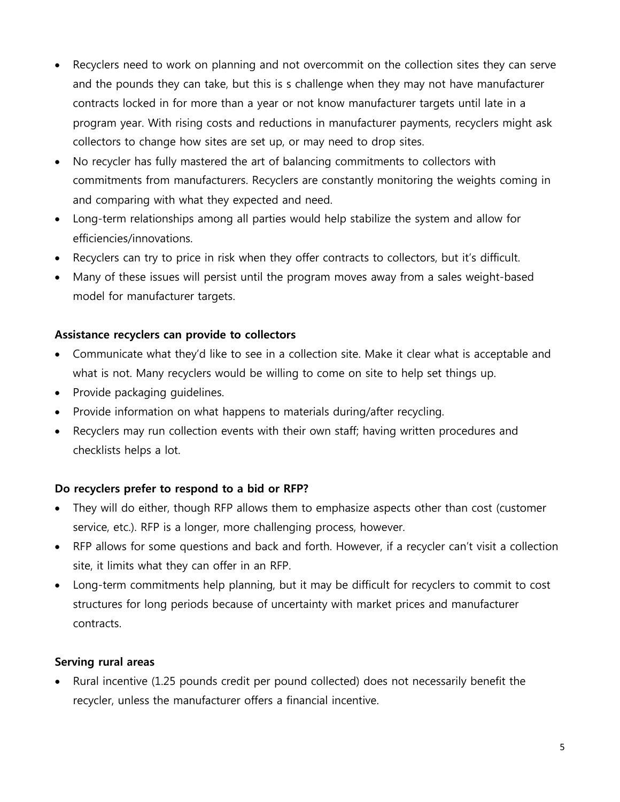- Recyclers need to work on planning and not overcommit on the collection sites they can serve and the pounds they can take, but this is s challenge when they may not have manufacturer contracts locked in for more than a year or not know manufacturer targets until late in a program year. With rising costs and reductions in manufacturer payments, recyclers might ask collectors to change how sites are set up, or may need to drop sites.
- No recycler has fully mastered the art of balancing commitments to collectors with commitments from manufacturers. Recyclers are constantly monitoring the weights coming in and comparing with what they expected and need.
- Long-term relationships among all parties would help stabilize the system and allow for efficiencies/innovations.
- Recyclers can try to price in risk when they offer contracts to collectors, but it's difficult.
- Many of these issues will persist until the program moves away from a sales weight-based model for manufacturer targets.

## **Assistance recyclers can provide to collectors**

- Communicate what they'd like to see in a collection site. Make it clear what is acceptable and what is not. Many recyclers would be willing to come on site to help set things up.
- Provide packaging quidelines.
- Provide information on what happens to materials during/after recycling.
- Recyclers may run collection events with their own staff; having written procedures and checklists helps a lot.

### **Do recyclers prefer to respond to a bid or RFP?**

- They will do either, though RFP allows them to emphasize aspects other than cost (customer service, etc.). RFP is a longer, more challenging process, however.
- RFP allows for some questions and back and forth. However, if a recycler can't visit a collection site, it limits what they can offer in an RFP.
- Long-term commitments help planning, but it may be difficult for recyclers to commit to cost structures for long periods because of uncertainty with market prices and manufacturer contracts.

### **Serving rural areas**

• Rural incentive (1.25 pounds credit per pound collected) does not necessarily benefit the recycler, unless the manufacturer offers a financial incentive.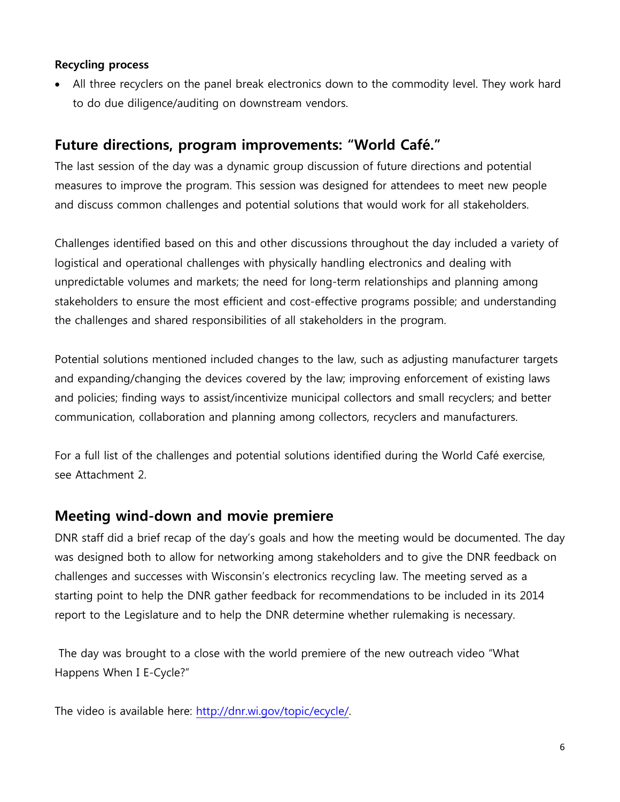#### **Recycling process**

• All three recyclers on the panel break electronics down to the commodity level. They work hard to do due diligence/auditing on downstream vendors.

## **Future directions, program improvements: "World Café."**

The last session of the day was a dynamic group discussion of future directions and potential measures to improve the program. This session was designed for attendees to meet new people and discuss common challenges and potential solutions that would work for all stakeholders.

Challenges identified based on this and other discussions throughout the day included a variety of logistical and operational challenges with physically handling electronics and dealing with unpredictable volumes and markets; the need for long-term relationships and planning among stakeholders to ensure the most efficient and cost-effective programs possible; and understanding the challenges and shared responsibilities of all stakeholders in the program.

Potential solutions mentioned included changes to the law, such as adjusting manufacturer targets and expanding/changing the devices covered by the law; improving enforcement of existing laws and policies; finding ways to assist/incentivize municipal collectors and small recyclers; and better communication, collaboration and planning among collectors, recyclers and manufacturers.

For a full list of the challenges and potential solutions identified during the World Café exercise, see Attachment 2.

## **Meeting wind-down and movie premiere**

DNR staff did a brief recap of the day's goals and how the meeting would be documented. The day was designed both to allow for networking among stakeholders and to give the DNR feedback on challenges and successes with Wisconsin's electronics recycling law. The meeting served as a starting point to help the DNR gather feedback for recommendations to be included in its 2014 report to the Legislature and to help the DNR determine whether rulemaking is necessary.

The day was brought to a close with the world premiere of the new outreach video "What Happens When I E-Cycle?"

The video is available here: [http://dnr.wi.gov/topic/ecycle/.](http://dnr.wi.gov/topic/ecycle/)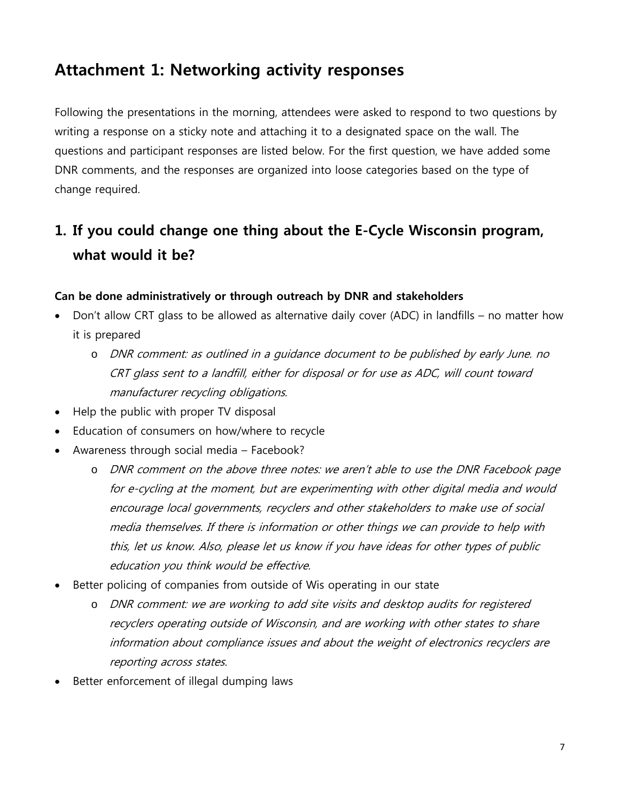# **Attachment 1: Networking activity responses**

Following the presentations in the morning, attendees were asked to respond to two questions by writing a response on a sticky note and attaching it to a designated space on the wall. The questions and participant responses are listed below. For the first question, we have added some DNR comments, and the responses are organized into loose categories based on the type of change required.

# **1. If you could change one thing about the E-Cycle Wisconsin program, what would it be?**

#### **Can be done administratively or through outreach by DNR and stakeholders**

- Don't allow CRT glass to be allowed as alternative daily cover (ADC) in landfills no matter how it is prepared
	- o DNR comment: as outlined in a guidance document to be published by early June. no CRT glass sent to a landfill, either for disposal or for use as ADC, will count toward manufacturer recycling obligations.
- Help the public with proper TV disposal
- Education of consumers on how/where to recycle
- Awareness through social media Facebook?
	- o DNR comment on the above three notes: we aren't able to use the DNR Facebook page for e-cycling at the moment, but are experimenting with other digital media and would encourage local governments, recyclers and other stakeholders to make use of social media themselves. If there is information or other things we can provide to help with this, let us know. Also, please let us know if you have ideas for other types of public education you think would be effective.
- Better policing of companies from outside of Wis operating in our state
	- o DNR comment: we are working to add site visits and desktop audits for registered recyclers operating outside of Wisconsin, and are working with other states to share information about compliance issues and about the weight of electronics recyclers are reporting across states.
- Better enforcement of illegal dumping laws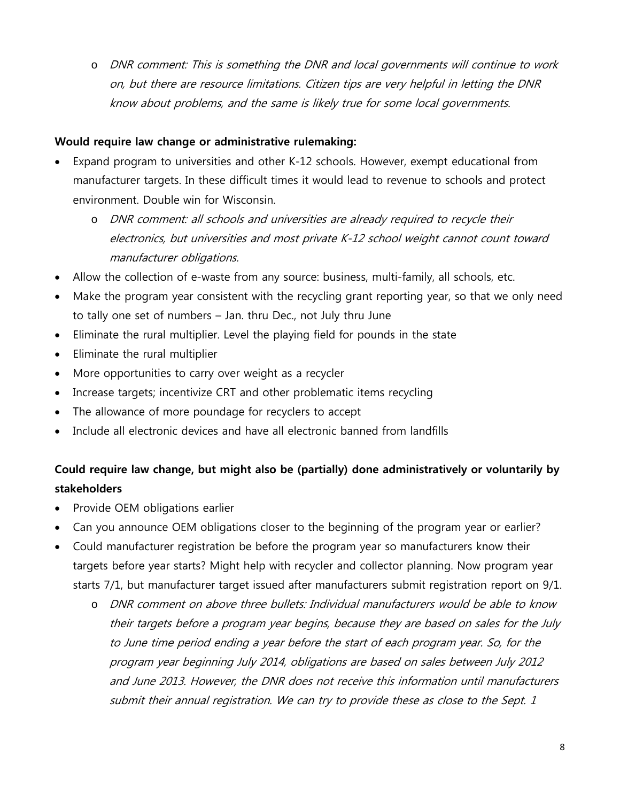o DNR comment: This is something the DNR and local governments will continue to work on, but there are resource limitations. Citizen tips are very helpful in letting the DNR know about problems, and the same is likely true for some local governments.

#### **Would require law change or administrative rulemaking:**

- Expand program to universities and other K-12 schools. However, exempt educational from manufacturer targets. In these difficult times it would lead to revenue to schools and protect environment. Double win for Wisconsin.
	- o DNR comment: all schools and universities are already required to recycle their electronics, but universities and most private K-12 school weight cannot count toward manufacturer obligations.
- Allow the collection of e-waste from any source: business, multi-family, all schools, etc.
- Make the program year consistent with the recycling grant reporting year, so that we only need to tally one set of numbers – Jan. thru Dec., not July thru June
- Eliminate the rural multiplier. Level the playing field for pounds in the state
- Eliminate the rural multiplier
- More opportunities to carry over weight as a recycler
- Increase targets; incentivize CRT and other problematic items recycling
- The allowance of more poundage for recyclers to accept
- Include all electronic devices and have all electronic banned from landfills

## **Could require law change, but might also be (partially) done administratively or voluntarily by stakeholders**

- Provide OEM obligations earlier
- Can you announce OEM obligations closer to the beginning of the program year or earlier?
- Could manufacturer registration be before the program year so manufacturers know their targets before year starts? Might help with recycler and collector planning. Now program year starts 7/1, but manufacturer target issued after manufacturers submit registration report on 9/1.
	- o DNR comment on above three bullets: Individual manufacturers would be able to know their targets before a program year begins, because they are based on sales for the July to June time period ending a year before the start of each program year. So, for the program year beginning July 2014, obligations are based on sales between July 2012 and June 2013. However, the DNR does not receive this information until manufacturers submit their annual registration. We can try to provide these as close to the Sept. 1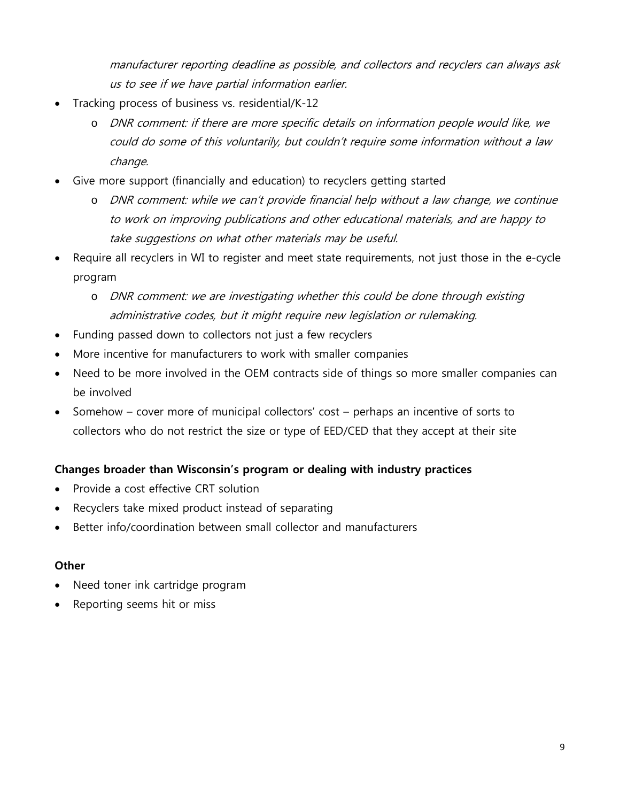manufacturer reporting deadline as possible, and collectors and recyclers can always ask us to see if we have partial information earlier.

- Tracking process of business vs. residential/K-12
	- o DNR comment: if there are more specific details on information people would like, we could do some of this voluntarily, but couldn't require some information without a law change.
- Give more support (financially and education) to recyclers getting started
	- o DNR comment: while we can't provide financial help without a law change, we continue to work on improving publications and other educational materials, and are happy to take suggestions on what other materials may be useful.
- Require all recyclers in WI to register and meet state requirements, not just those in the e-cycle program
	- o DNR comment: we are investigating whether this could be done through existing administrative codes, but it might require new legislation or rulemaking.
- Funding passed down to collectors not just a few recyclers
- More incentive for manufacturers to work with smaller companies
- Need to be more involved in the OEM contracts side of things so more smaller companies can be involved
- Somehow cover more of municipal collectors' cost perhaps an incentive of sorts to collectors who do not restrict the size or type of EED/CED that they accept at their site

### **Changes broader than Wisconsin's program or dealing with industry practices**

- Provide a cost effective CRT solution
- Recyclers take mixed product instead of separating
- Better info/coordination between small collector and manufacturers

#### **Other**

- Need toner ink cartridge program
- Reporting seems hit or miss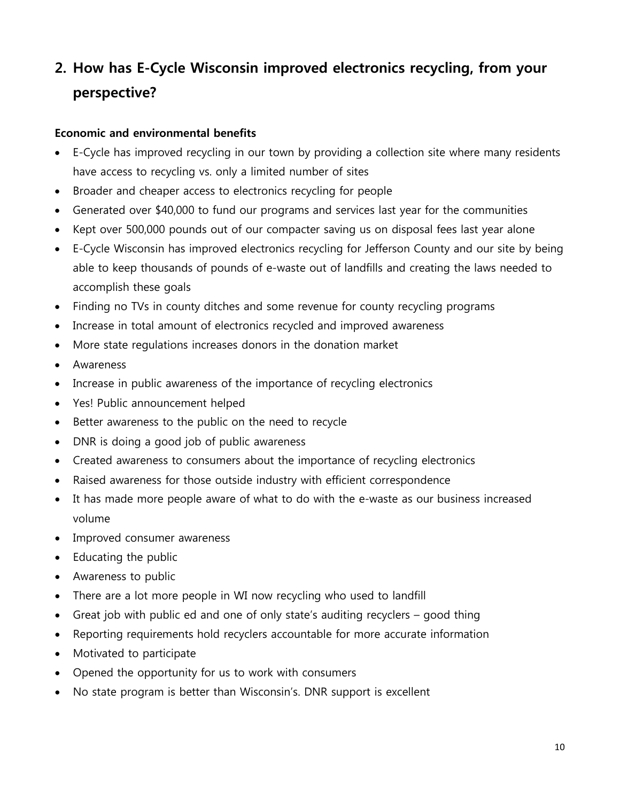# **2. How has E-Cycle Wisconsin improved electronics recycling, from your perspective?**

#### **Economic and environmental benefits**

- E-Cycle has improved recycling in our town by providing a collection site where many residents have access to recycling vs. only a limited number of sites
- Broader and cheaper access to electronics recycling for people
- Generated over \$40,000 to fund our programs and services last year for the communities
- Kept over 500,000 pounds out of our compacter saving us on disposal fees last year alone
- E-Cycle Wisconsin has improved electronics recycling for Jefferson County and our site by being able to keep thousands of pounds of e-waste out of landfills and creating the laws needed to accomplish these goals
- Finding no TVs in county ditches and some revenue for county recycling programs
- Increase in total amount of electronics recycled and improved awareness
- More state regulations increases donors in the donation market
- Awareness
- Increase in public awareness of the importance of recycling electronics
- Yes! Public announcement helped
- Better awareness to the public on the need to recycle
- DNR is doing a good job of public awareness
- Created awareness to consumers about the importance of recycling electronics
- Raised awareness for those outside industry with efficient correspondence
- It has made more people aware of what to do with the e-waste as our business increased volume
- Improved consumer awareness
- Educating the public
- Awareness to public
- There are a lot more people in WI now recycling who used to landfill
- Great job with public ed and one of only state's auditing recyclers good thing
- Reporting requirements hold recyclers accountable for more accurate information
- Motivated to participate
- Opened the opportunity for us to work with consumers
- No state program is better than Wisconsin's. DNR support is excellent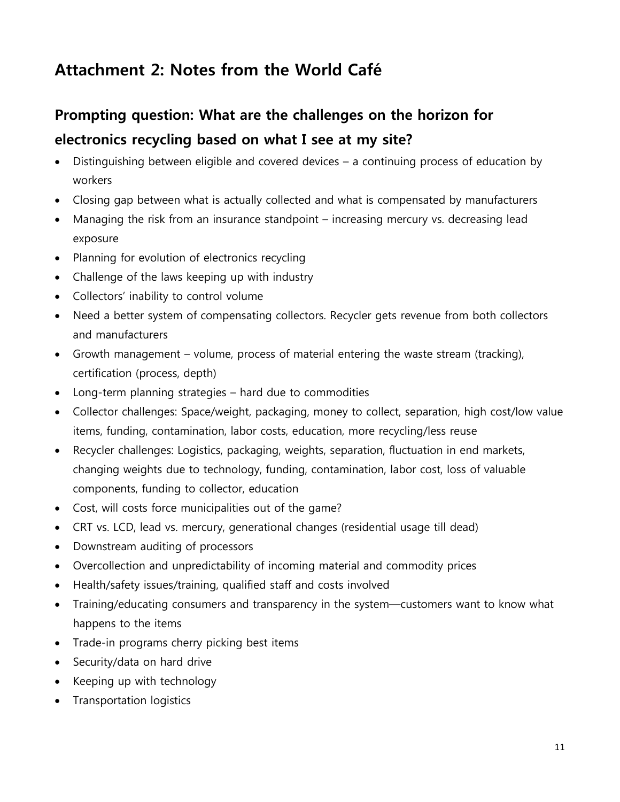# **Attachment 2: Notes from the World Café**

# **Prompting question: What are the challenges on the horizon for electronics recycling based on what I see at my site?**

- Distinguishing between eligible and covered devices a continuing process of education by workers
- Closing gap between what is actually collected and what is compensated by manufacturers
- Managing the risk from an insurance standpoint increasing mercury vs. decreasing lead exposure
- Planning for evolution of electronics recycling
- Challenge of the laws keeping up with industry
- Collectors' inability to control volume
- Need a better system of compensating collectors. Recycler gets revenue from both collectors and manufacturers
- Growth management volume, process of material entering the waste stream (tracking), certification (process, depth)
- Long-term planning strategies hard due to commodities
- Collector challenges: Space/weight, packaging, money to collect, separation, high cost/low value items, funding, contamination, labor costs, education, more recycling/less reuse
- Recycler challenges: Logistics, packaging, weights, separation, fluctuation in end markets, changing weights due to technology, funding, contamination, labor cost, loss of valuable components, funding to collector, education
- Cost, will costs force municipalities out of the game?
- CRT vs. LCD, lead vs. mercury, generational changes (residential usage till dead)
- Downstream auditing of processors
- Overcollection and unpredictability of incoming material and commodity prices
- Health/safety issues/training, qualified staff and costs involved
- Training/educating consumers and transparency in the system—customers want to know what happens to the items
- Trade-in programs cherry picking best items
- Security/data on hard drive
- Keeping up with technology
- Transportation logistics